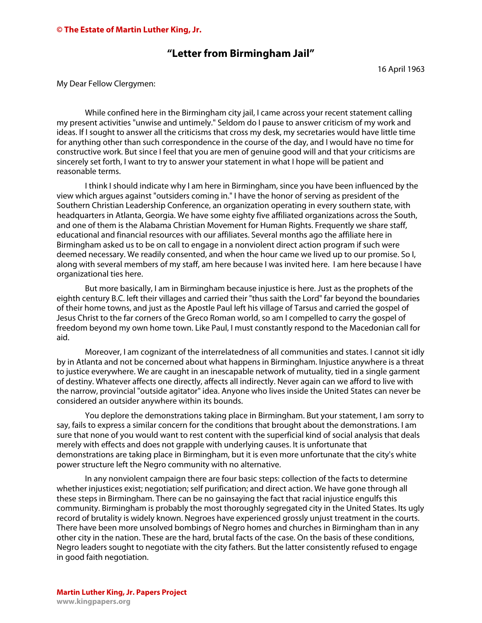# **"Letter from Birmingham Jail"**

16 April 1963

My Dear Fellow Clergymen:

While confined here in the Birmingham city jail, I came across your recent [statement](http://www.stanford.edu/group/King//frequentdocs/clergy.pdf) calling my present activities "unwise and untimely." Seldom do I pause to answer criticism of my work and ideas. If I sought to answer all the criticisms that cross my desk, my secretaries would have little time for anything other than such correspondence in the course of the day, and I would have no time for constructive work. But since I feel that you are men of genuine good will and that your criticisms are sincerely set forth, I want to try to answer your statement in what I hope will be patient and reasonable terms.

I think I should indicate why I am here in Birmingham, since you have been influenced by the view which argues against "outsiders coming in." I have the honor of serving as president of the Southern Christian Leadership Conference, an organization operating in every southern state, with headquarters in Atlanta, Georgia. We have some eighty five affiliated organizations across the South, and one of them is the Alabama Christian Movement for Human Rights. Frequently we share staff, educational and financial resources with our affiliates. Several months ago the affiliate here in Birmingham asked us to be on call to engage in a nonviolent direct action program if such were deemed necessary. We readily consented, and when the hour came we lived up to our promise. So I, along with several members of my staff, am here because I was invited here. I am here because I have organizational ties here.

But more basically, I am in Birmingham because injustice is here. Just as the prophets of the eighth century B.C. left their villages and carried their "thus saith the Lord" far beyond the boundaries of their home towns, and just as the Apostle Paul left his village of Tarsus and carried the gospel of Jesus Christ to the far corners of the Greco Roman world, so am I compelled to carry the gospel of freedom beyond my own home town. Like Paul, I must constantly respond to the Macedonian call for aid.

Moreover, I am cognizant of the interrelatedness of all communities and states. I cannot sit idly by in Atlanta and not be concerned about what happens in Birmingham. Injustice anywhere is a threat to justice everywhere. We are caught in an inescapable network of mutuality, tied in a single garment of destiny. Whatever affects one directly, affects all indirectly. Never again can we afford to live with the narrow, provincial "outside agitator" idea. Anyone who lives inside the United States can never be considered an outsider anywhere within its bounds.

You deplore the demonstrations taking place in Birmingham. But your statement, I am sorry to say, fails to express a similar concern for the conditions that brought about the demonstrations. I am sure that none of you would want to rest content with the superficial kind of social analysis that deals merely with effects and does not grapple with underlying causes. It is unfortunate that demonstrations are taking place in Birmingham, but it is even more unfortunate that the city's white power structure left the Negro community with no alternative.

In any nonviolent campaign there are four basic steps: collection of the facts to determine whether injustices exist; negotiation; self purification; and direct action. We have gone through all these steps in Birmingham. There can be no gainsaying the fact that racial injustice engulfs this community. Birmingham is probably the most thoroughly segregated city in the United States. Its ugly record of brutality is widely known. Negroes have experienced grossly unjust treatment in the courts. There have been more unsolved bombings of Negro homes and churches in Birmingham than in any other city in the nation. These are the hard, brutal facts of the case. On the basis of these conditions, Negro leaders sought to negotiate with the city fathers. But the latter consistently refused to engage in good faith negotiation.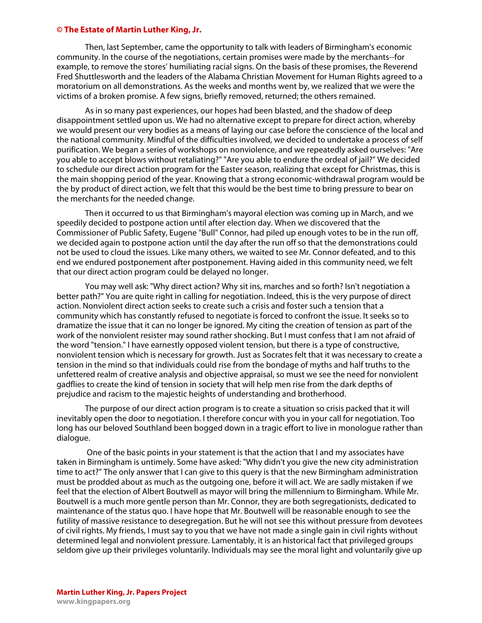Then, last September, came the opportunity to talk with leaders of Birmingham's economic community. In the course of the negotiations, certain promises were made by the merchants--for example, to remove the stores' humiliating racial signs. On the basis of these promises, the Reverend Fred Shuttlesworth and the leaders of the Alabama Christian Movement for Human Rights agreed to a moratorium on all demonstrations. As the weeks and months went by, we realized that we were the victims of a broken promise. A few signs, briefly removed, returned; the others remained.

As in so many past experiences, our hopes had been blasted, and the shadow of deep disappointment settled upon us. We had no alternative except to prepare for direct action, whereby we would present our very bodies as a means of laying our case before the conscience of the local and the national community. Mindful of the difficulties involved, we decided to undertake a process of self purification. We began a series of workshops on nonviolence, and we repeatedly asked ourselves: "Are you able to accept blows without retaliating?" "Are you able to endure the ordeal of jail?" We decided to schedule our direct action program for the Easter season, realizing that except for Christmas, this is the main shopping period of the year. Knowing that a strong economic-withdrawal program would be the by product of direct action, we felt that this would be the best time to bring pressure to bear on the merchants for the needed change.

Then it occurred to us that Birmingham's mayoral election was coming up in March, and we speedily decided to postpone action until after election day. When we discovered that the Commissioner of Public Safety, Eugene "Bull" Connor, had piled up enough votes to be in the run off, we decided again to postpone action until the day after the run off so that the demonstrations could not be used to cloud the issues. Like many others, we waited to see Mr. Connor defeated, and to this end we endured postponement after postponement. Having aided in this community need, we felt that our direct action program could be delayed no longer.

You may well ask: "Why direct action? Why sit ins, marches and so forth? Isn't negotiation a better path?" You are quite right in calling for negotiation. Indeed, this is the very purpose of direct action. Nonviolent direct action seeks to create such a crisis and foster such a tension that a community which has constantly refused to negotiate is forced to confront the issue. It seeks so to dramatize the issue that it can no longer be ignored. My citing the creation of tension as part of the work of the nonviolent resister may sound rather shocking. But I must confess that I am not afraid of the word "tension." I have earnestly opposed violent tension, but there is a type of constructive, nonviolent tension which is necessary for growth. Just as Socrates felt that it was necessary to create a tension in the mind so that individuals could rise from the bondage of myths and half truths to the unfettered realm of creative analysis and objective appraisal, so must we see the need for nonviolent gadflies to create the kind of tension in society that will help men rise from the dark depths of prejudice and racism to the majestic heights of understanding and brotherhood.

The purpose of our direct action program is to create a situation so crisis packed that it will inevitably open the door to negotiation. I therefore concur with you in your call for negotiation. Too long has our beloved Southland been bogged down in a tragic effort to live in monologue rather than dialogue.

 One of the basic points in your statement is that the action that I and my associates have taken in Birmingham is untimely. Some have asked: "Why didn't you give the new city administration time to act?" The only answer that I can give to this query is that the new Birmingham administration must be prodded about as much as the outgoing one, before it will act. We are sadly mistaken if we feel that the election of Albert Boutwell as mayor will bring the millennium to Birmingham. While Mr. Boutwell is a much more gentle person than Mr. Connor, they are both segregationists, dedicated to maintenance of the status quo. I have hope that Mr. Boutwell will be reasonable enough to see the futility of massive resistance to desegregation. But he will not see this without pressure from devotees of civil rights. My friends, I must say to you that we have not made a single gain in civil rights without determined legal and nonviolent pressure. Lamentably, it is an historical fact that privileged groups seldom give up their privileges voluntarily. Individuals may see the moral light and voluntarily give up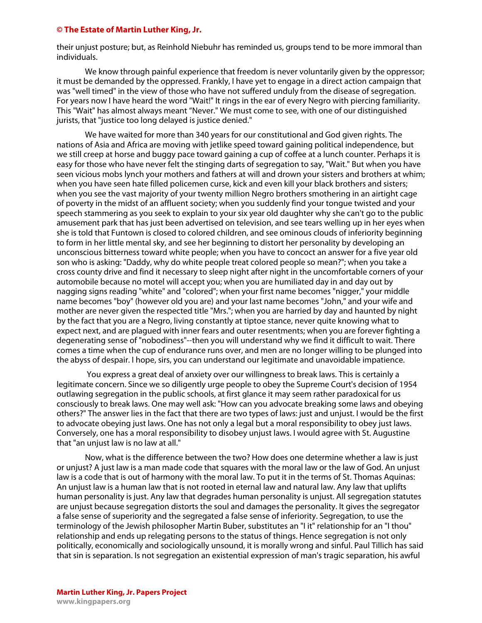their unjust posture; but, as Reinhold Niebuhr has reminded us, groups tend to be more immoral than individuals.

We know through painful experience that freedom is never voluntarily given by the oppressor; it must be demanded by the oppressed. Frankly, I have yet to engage in a direct action campaign that was "well timed" in the view of those who have not suffered unduly from the disease of segregation. For years now I have heard the word "Wait!" It rings in the ear of every Negro with piercing familiarity. This "Wait" has almost always meant "Never." We must come to see, with one of our distinguished jurists, that "justice too long delayed is justice denied."

We have waited for more than 340 years for our constitutional and God given rights. The nations of Asia and Africa are moving with jetlike speed toward gaining political independence, but we still creep at horse and buggy pace toward gaining a cup of coffee at a lunch counter. Perhaps it is easy for those who have never felt the stinging darts of segregation to say, "Wait." But when you have seen vicious mobs lynch your mothers and fathers at will and drown your sisters and brothers at whim; when you have seen hate filled policemen curse, kick and even kill your black brothers and sisters; when you see the vast majority of your twenty million Negro brothers smothering in an airtight cage of poverty in the midst of an affluent society; when you suddenly find your tongue twisted and your speech stammering as you seek to explain to your six year old daughter why she can't go to the public amusement park that has just been advertised on television, and see tears welling up in her eyes when she is told that Funtown is closed to colored children, and see ominous clouds of inferiority beginning to form in her little mental sky, and see her beginning to distort her personality by developing an unconscious bitterness toward white people; when you have to concoct an answer for a five year old son who is asking: "Daddy, why do white people treat colored people so mean?"; when you take a cross county drive and find it necessary to sleep night after night in the uncomfortable corners of your automobile because no motel will accept you; when you are humiliated day in and day out by nagging signs reading "white" and "colored"; when your first name becomes "nigger," your middle name becomes "boy" (however old you are) and your last name becomes "John," and your wife and mother are never given the respected title "Mrs."; when you are harried by day and haunted by night by the fact that you are a Negro, living constantly at tiptoe stance, never quite knowing what to expect next, and are plagued with inner fears and outer resentments; when you are forever fighting a degenerating sense of "nobodiness"--then you will understand why we find it difficult to wait. There comes a time when the cup of endurance runs over, and men are no longer willing to be plunged into the abyss of despair. I hope, sirs, you can understand our legitimate and unavoidable impatience.

 You express a great deal of anxiety over our willingness to break laws. This is certainly a legitimate concern. Since we so diligently urge people to obey the Supreme Court's decision of 1954 outlawing segregation in the public schools, at first glance it may seem rather paradoxical for us consciously to break laws. One may well ask: "How can you advocate breaking some laws and obeying others?" The answer lies in the fact that there are two types of laws: just and unjust. I would be the first to advocate obeying just laws. One has not only a legal but a moral responsibility to obey just laws. Conversely, one has a moral responsibility to disobey unjust laws. I would agree with St. Augustine that "an unjust law is no law at all."

Now, what is the difference between the two? How does one determine whether a law is just or unjust? A just law is a man made code that squares with the moral law or the law of God. An unjust law is a code that is out of harmony with the moral law. To put it in the terms of St. Thomas Aquinas: An unjust law is a human law that is not rooted in eternal law and natural law. Any law that uplifts human personality is just. Any law that degrades human personality is unjust. All segregation statutes are unjust because segregation distorts the soul and damages the personality. It gives the segregator a false sense of superiority and the segregated a false sense of inferiority. Segregation, to use the terminology of the Jewish philosopher Martin Buber, substitutes an "I it" relationship for an "I thou" relationship and ends up relegating persons to the status of things. Hence segregation is not only politically, economically and sociologically unsound, it is morally wrong and sinful. Paul Tillich has said that sin is separation. Is not segregation an existential expression of man's tragic separation, his awful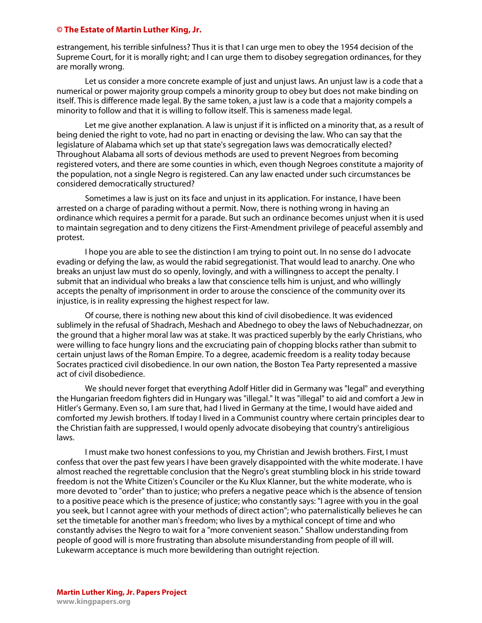estrangement, his terrible sinfulness? Thus it is that I can urge men to obey the 1954 decision of the Supreme Court, for it is morally right; and I can urge them to disobey segregation ordinances, for they are morally wrong.

Let us consider a more concrete example of just and unjust laws. An unjust law is a code that a numerical or power majority group compels a minority group to obey but does not make binding on itself. This is difference made legal. By the same token, a just law is a code that a majority compels a minority to follow and that it is willing to follow itself. This is sameness made legal.

Let me give another explanation. A law is unjust if it is inflicted on a minority that, as a result of being denied the right to vote, had no part in enacting or devising the law. Who can say that the legislature of Alabama which set up that state's segregation laws was democratically elected? Throughout Alabama all sorts of devious methods are used to prevent Negroes from becoming registered voters, and there are some counties in which, even though Negroes constitute a majority of the population, not a single Negro is registered. Can any law enacted under such circumstances be considered democratically structured?

Sometimes a law is just on its face and unjust in its application. For instance, I have been arrested on a charge of parading without a permit. Now, there is nothing wrong in having an ordinance which requires a permit for a parade. But such an ordinance becomes unjust when it is used to maintain segregation and to deny citizens the First-Amendment privilege of peaceful assembly and protest.

I hope you are able to see the distinction I am trying to point out. In no sense do I advocate evading or defying the law, as would the rabid segregationist. That would lead to anarchy. One who breaks an unjust law must do so openly, lovingly, and with a willingness to accept the penalty. I submit that an individual who breaks a law that conscience tells him is unjust, and who willingly accepts the penalty of imprisonment in order to arouse the conscience of the community over its injustice, is in reality expressing the highest respect for law.

Of course, there is nothing new about this kind of civil disobedience. It was evidenced sublimely in the refusal of Shadrach, Meshach and Abednego to obey the laws of Nebuchadnezzar, on the ground that a higher moral law was at stake. It was practiced superbly by the early Christians, who were willing to face hungry lions and the excruciating pain of chopping blocks rather than submit to certain unjust laws of the Roman Empire. To a degree, academic freedom is a reality today because Socrates practiced civil disobedience. In our own nation, the Boston Tea Party represented a massive act of civil disobedience.

We should never forget that everything Adolf Hitler did in Germany was "legal" and everything the Hungarian freedom fighters did in Hungary was "illegal." It was "illegal" to aid and comfort a Jew in Hitler's Germany. Even so, I am sure that, had I lived in Germany at the time, I would have aided and comforted my Jewish brothers. If today I lived in a Communist country where certain principles dear to the Christian faith are suppressed, I would openly advocate disobeying that country's antireligious laws.

I must make two honest confessions to you, my Christian and Jewish brothers. First, I must confess that over the past few years I have been gravely disappointed with the white moderate. I have almost reached the regrettable conclusion that the Negro's great stumbling block in his stride toward freedom is not the White Citizen's Counciler or the Ku Klux Klanner, but the white moderate, who is more devoted to "order" than to justice; who prefers a negative peace which is the absence of tension to a positive peace which is the presence of justice; who constantly says: "I agree with you in the goal you seek, but I cannot agree with your methods of direct action"; who paternalistically believes he can set the timetable for another man's freedom; who lives by a mythical concept of time and who constantly advises the Negro to wait for a "more convenient season." Shallow understanding from people of good will is more frustrating than absolute misunderstanding from people of ill will. Lukewarm acceptance is much more bewildering than outright rejection.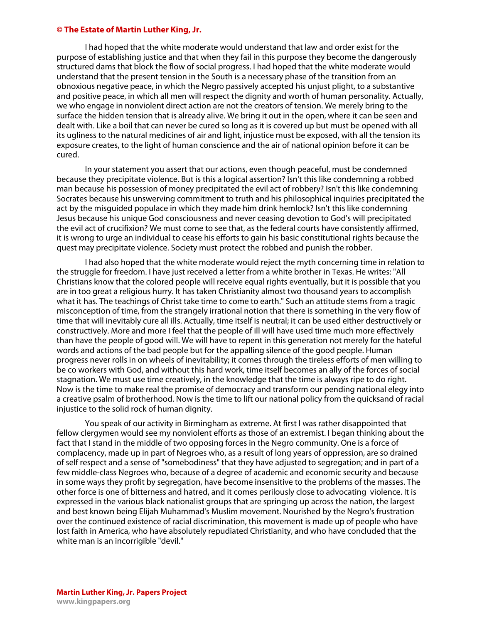I had hoped that the white moderate would understand that law and order exist for the purpose of establishing justice and that when they fail in this purpose they become the dangerously structured dams that block the flow of social progress. I had hoped that the white moderate would understand that the present tension in the South is a necessary phase of the transition from an obnoxious negative peace, in which the Negro passively accepted his unjust plight, to a substantive and positive peace, in which all men will respect the dignity and worth of human personality. Actually, we who engage in nonviolent direct action are not the creators of tension. We merely bring to the surface the hidden tension that is already alive. We bring it out in the open, where it can be seen and dealt with. Like a boil that can never be cured so long as it is covered up but must be opened with all its ugliness to the natural medicines of air and light, injustice must be exposed, with all the tension its exposure creates, to the light of human conscience and the air of national opinion before it can be cured.

In your statement you assert that our actions, even though peaceful, must be condemned because they precipitate violence. But is this a logical assertion? Isn't this like condemning a robbed man because his possession of money precipitated the evil act of robbery? Isn't this like condemning Socrates because his unswerving commitment to truth and his philosophical inquiries precipitated the act by the misguided populace in which they made him drink hemlock? Isn't this like condemning Jesus because his unique God consciousness and never ceasing devotion to God's will precipitated the evil act of crucifixion? We must come to see that, as the federal courts have consistently affirmed, it is wrong to urge an individual to cease his efforts to gain his basic constitutional rights because the quest may precipitate violence. Society must protect the robbed and punish the robber.

I had also hoped that the white moderate would reject the myth concerning time in relation to the struggle for freedom. I have just received a letter from a white brother in Texas. He writes: "All Christians know that the colored people will receive equal rights eventually, but it is possible that you are in too great a religious hurry. It has taken Christianity almost two thousand years to accomplish what it has. The teachings of Christ take time to come to earth." Such an attitude stems from a tragic misconception of time, from the strangely irrational notion that there is something in the very flow of time that will inevitably cure all ills. Actually, time itself is neutral; it can be used either destructively or constructively. More and more I feel that the people of ill will have used time much more effectively than have the people of good will. We will have to repent in this generation not merely for the hateful words and actions of the bad people but for the appalling silence of the good people. Human progress never rolls in on wheels of inevitability; it comes through the tireless efforts of men willing to be co workers with God, and without this hard work, time itself becomes an ally of the forces of social stagnation. We must use time creatively, in the knowledge that the time is always ripe to do right. Now is the time to make real the promise of democracy and transform our pending national elegy into a creative psalm of brotherhood. Now is the time to lift our national policy from the quicksand of racial injustice to the solid rock of human dignity.

You speak of our activity in Birmingham as extreme. At first I was rather disappointed that fellow clergymen would see my nonviolent efforts as those of an extremist. I began thinking about the fact that I stand in the middle of two opposing forces in the Negro community. One is a force of complacency, made up in part of Negroes who, as a result of long years of oppression, are so drained of self respect and a sense of "somebodiness" that they have adjusted to segregation; and in part of a few middle-class Negroes who, because of a degree of academic and economic security and because in some ways they profit by segregation, have become insensitive to the problems of the masses. The other force is one of bitterness and hatred, and it comes perilously close to advocating violence. It is expressed in the various black nationalist groups that are springing up across the nation, the largest and best known being Elijah Muhammad's Muslim movement. Nourished by the Negro's frustration over the continued existence of racial discrimination, this movement is made up of people who have lost faith in America, who have absolutely repudiated Christianity, and who have concluded that the white man is an incorrigible "devil."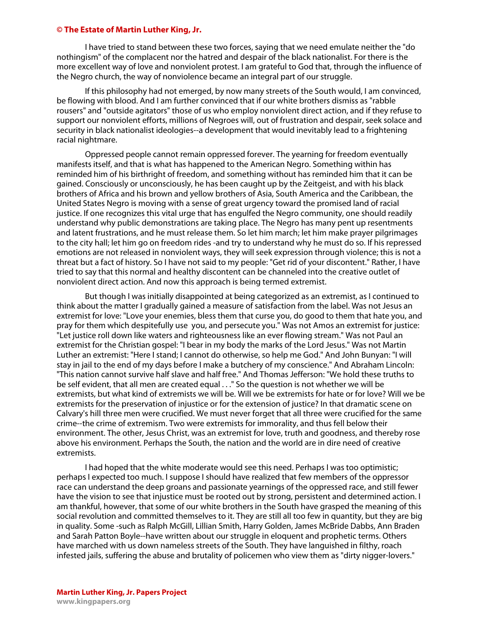I have tried to stand between these two forces, saying that we need emulate neither the "do nothingism" of the complacent nor the hatred and despair of the black nationalist. For there is the more excellent way of love and nonviolent protest. I am grateful to God that, through the influence of the Negro church, the way of nonviolence became an integral part of our struggle.

If this philosophy had not emerged, by now many streets of the South would, I am convinced, be flowing with blood. And I am further convinced that if our white brothers dismiss as "rabble rousers" and "outside agitators" those of us who employ nonviolent direct action, and if they refuse to support our nonviolent efforts, millions of Negroes will, out of frustration and despair, seek solace and security in black nationalist ideologies--a development that would inevitably lead to a frightening racial nightmare.

Oppressed people cannot remain oppressed forever. The yearning for freedom eventually manifests itself, and that is what has happened to the American Negro. Something within has reminded him of his birthright of freedom, and something without has reminded him that it can be gained. Consciously or unconsciously, he has been caught up by the Zeitgeist, and with his black brothers of Africa and his brown and yellow brothers of Asia, South America and the Caribbean, the United States Negro is moving with a sense of great urgency toward the promised land of racial justice. If one recognizes this vital urge that has engulfed the Negro community, one should readily understand why public demonstrations are taking place. The Negro has many pent up resentments and latent frustrations, and he must release them. So let him march; let him make prayer pilgrimages to the city hall; let him go on freedom rides -and try to understand why he must do so. If his repressed emotions are not released in nonviolent ways, they will seek expression through violence; this is not a threat but a fact of history. So I have not said to my people: "Get rid of your discontent." Rather, I have tried to say that this normal and healthy discontent can be channeled into the creative outlet of nonviolent direct action. And now this approach is being termed extremist.

But though I was initially disappointed at being categorized as an extremist, as I continued to think about the matter I gradually gained a measure of satisfaction from the label. Was not Jesus an extremist for love: "Love your enemies, bless them that curse you, do good to them that hate you, and pray for them which despitefully use you, and persecute you." Was not Amos an extremist for justice: "Let justice roll down like waters and righteousness like an ever flowing stream." Was not Paul an extremist for the Christian gospel: "I bear in my body the marks of the Lord Jesus." Was not Martin Luther an extremist: "Here I stand; I cannot do otherwise, so help me God." And John Bunyan: "I will stay in jail to the end of my days before I make a butchery of my conscience." And Abraham Lincoln: "This nation cannot survive half slave and half free." And Thomas Jefferson: "We hold these truths to be self evident, that all men are created equal . . ." So the question is not whether we will be extremists, but what kind of extremists we will be. Will we be extremists for hate or for love? Will we be extremists for the preservation of injustice or for the extension of justice? In that dramatic scene on Calvary's hill three men were crucified. We must never forget that all three were crucified for the same crime--the crime of extremism. Two were extremists for immorality, and thus fell below their environment. The other, Jesus Christ, was an extremist for love, truth and goodness, and thereby rose above his environment. Perhaps the South, the nation and the world are in dire need of creative extremists.

I had hoped that the white moderate would see this need. Perhaps I was too optimistic; perhaps I expected too much. I suppose I should have realized that few members of the oppressor race can understand the deep groans and passionate yearnings of the oppressed race, and still fewer have the vision to see that injustice must be rooted out by strong, persistent and determined action. I am thankful, however, that some of our white brothers in the South have grasped the meaning of this social revolution and committed themselves to it. They are still all too few in quantity, but they are big in quality. Some -such as Ralph McGill, Lillian Smith, Harry Golden, James McBride Dabbs, Ann Braden and Sarah Patton Boyle--have written about our struggle in eloquent and prophetic terms. Others have marched with us down nameless streets of the South. They have languished in filthy, roach infested jails, suffering the abuse and brutality of policemen who view them as "dirty nigger-lovers."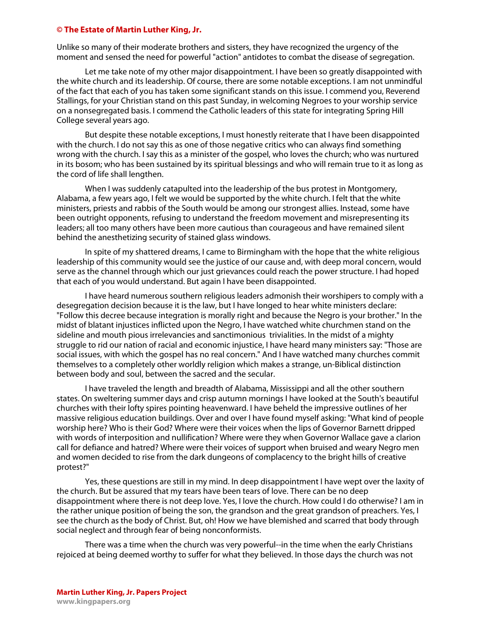Unlike so many of their moderate brothers and sisters, they have recognized the urgency of the moment and sensed the need for powerful "action" antidotes to combat the disease of segregation.

Let me take note of my other major disappointment. I have been so greatly disappointed with the white church and its leadership. Of course, there are some notable exceptions. I am not unmindful of the fact that each of you has taken some significant stands on this issue. I commend you, Reverend Stallings, for your Christian stand on this past Sunday, in welcoming Negroes to your worship service on a nonsegregated basis. I commend the Catholic leaders of this state for integrating Spring Hill College several years ago.

But despite these notable exceptions, I must honestly reiterate that I have been disappointed with the church. I do not say this as one of those negative critics who can always find something wrong with the church. I say this as a minister of the gospel, who loves the church; who was nurtured in its bosom; who has been sustained by its spiritual blessings and who will remain true to it as long as the cord of life shall lengthen.

When I was suddenly catapulted into the leadership of the bus protest in Montgomery, Alabama, a few years ago, I felt we would be supported by the white church. I felt that the white ministers, priests and rabbis of the South would be among our strongest allies. Instead, some have been outright opponents, refusing to understand the freedom movement and misrepresenting its leaders; all too many others have been more cautious than courageous and have remained silent behind the anesthetizing security of stained glass windows.

In spite of my shattered dreams, I came to Birmingham with the hope that the white religious leadership of this community would see the justice of our cause and, with deep moral concern, would serve as the channel through which our just grievances could reach the power structure. I had hoped that each of you would understand. But again I have been disappointed.

I have heard numerous southern religious leaders admonish their worshipers to comply with a desegregation decision because it is the law, but I have longed to hear white ministers declare: "Follow this decree because integration is morally right and because the Negro is your brother." In the midst of blatant injustices inflicted upon the Negro, I have watched white churchmen stand on the sideline and mouth pious irrelevancies and sanctimonious trivialities. In the midst of a mighty struggle to rid our nation of racial and economic injustice, I have heard many ministers say: "Those are social issues, with which the gospel has no real concern." And I have watched many churches commit themselves to a completely other worldly religion which makes a strange, un-Biblical distinction between body and soul, between the sacred and the secular.

I have traveled the length and breadth of Alabama, Mississippi and all the other southern states. On sweltering summer days and crisp autumn mornings I have looked at the South's beautiful churches with their lofty spires pointing heavenward. I have beheld the impressive outlines of her massive religious education buildings. Over and over I have found myself asking: "What kind of people worship here? Who is their God? Where were their voices when the lips of Governor Barnett dripped with words of interposition and nullification? Where were they when Governor Wallace gave a clarion call for defiance and hatred? Where were their voices of support when bruised and weary Negro men and women decided to rise from the dark dungeons of complacency to the bright hills of creative protest?"

Yes, these questions are still in my mind. In deep disappointment I have wept over the laxity of the church. But be assured that my tears have been tears of love. There can be no deep disappointment where there is not deep love. Yes, I love the church. How could I do otherwise? I am in the rather unique position of being the son, the grandson and the great grandson of preachers. Yes, I see the church as the body of Christ. But, oh! How we have blemished and scarred that body through social neglect and through fear of being nonconformists.

There was a time when the church was very powerful--in the time when the early Christians rejoiced at being deemed worthy to suffer for what they believed. In those days the church was not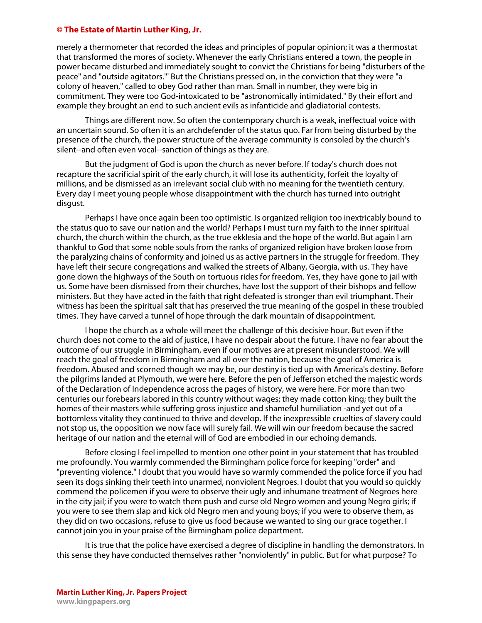merely a thermometer that recorded the ideas and principles of popular opinion; it was a thermostat that transformed the mores of society. Whenever the early Christians entered a town, the people in power became disturbed and immediately sought to convict the Christians for being "disturbers of the peace" and "outside agitators."' But the Christians pressed on, in the conviction that they were "a colony of heaven," called to obey God rather than man. Small in number, they were big in commitment. They were too God-intoxicated to be "astronomically intimidated." By their effort and example they brought an end to such ancient evils as infanticide and gladiatorial contests.

Things are different now. So often the contemporary church is a weak, ineffectual voice with an uncertain sound. So often it is an archdefender of the status quo. Far from being disturbed by the presence of the church, the power structure of the average community is consoled by the church's silent--and often even vocal--sanction of things as they are.

But the judgment of God is upon the church as never before. If today's church does not recapture the sacrificial spirit of the early church, it will lose its authenticity, forfeit the loyalty of millions, and be dismissed as an irrelevant social club with no meaning for the twentieth century. Every day I meet young people whose disappointment with the church has turned into outright disgust.

Perhaps I have once again been too optimistic. Is organized religion too inextricably bound to the status quo to save our nation and the world? Perhaps I must turn my faith to the inner spiritual church, the church within the church, as the true ekklesia and the hope of the world. But again I am thankful to God that some noble souls from the ranks of organized religion have broken loose from the paralyzing chains of conformity and joined us as active partners in the struggle for freedom. They have left their secure congregations and walked the streets of Albany, Georgia, with us. They have gone down the highways of the South on tortuous rides for freedom. Yes, they have gone to jail with us. Some have been dismissed from their churches, have lost the support of their bishops and fellow ministers. But they have acted in the faith that right defeated is stronger than evil triumphant. Their witness has been the spiritual salt that has preserved the true meaning of the gospel in these troubled times. They have carved a tunnel of hope through the dark mountain of disappointment.

I hope the church as a whole will meet the challenge of this decisive hour. But even if the church does not come to the aid of justice, I have no despair about the future. I have no fear about the outcome of our struggle in Birmingham, even if our motives are at present misunderstood. We will reach the goal of freedom in Birmingham and all over the nation, because the goal of America is freedom. Abused and scorned though we may be, our destiny is tied up with America's destiny. Before the pilgrims landed at Plymouth, we were here. Before the pen of Jefferson etched the majestic words of the Declaration of Independence across the pages of history, we were here. For more than two centuries our forebears labored in this country without wages; they made cotton king; they built the homes of their masters while suffering gross injustice and shameful humiliation -and yet out of a bottomless vitality they continued to thrive and develop. If the inexpressible cruelties of slavery could not stop us, the opposition we now face will surely fail. We will win our freedom because the sacred heritage of our nation and the eternal will of God are embodied in our echoing demands.

Before closing I feel impelled to mention one other point in your statement that has troubled me profoundly. You warmly commended the Birmingham police force for keeping "order" and "preventing violence." I doubt that you would have so warmly commended the police force if you had seen its dogs sinking their teeth into unarmed, nonviolent Negroes. I doubt that you would so quickly commend the policemen if you were to observe their ugly and inhumane treatment of Negroes here in the city jail; if you were to watch them push and curse old Negro women and young Negro girls; if you were to see them slap and kick old Negro men and young boys; if you were to observe them, as they did on two occasions, refuse to give us food because we wanted to sing our grace together. I cannot join you in your praise of the Birmingham police department.

It is true that the police have exercised a degree of discipline in handling the demonstrators. In this sense they have conducted themselves rather "nonviolently" in public. But for what purpose? To